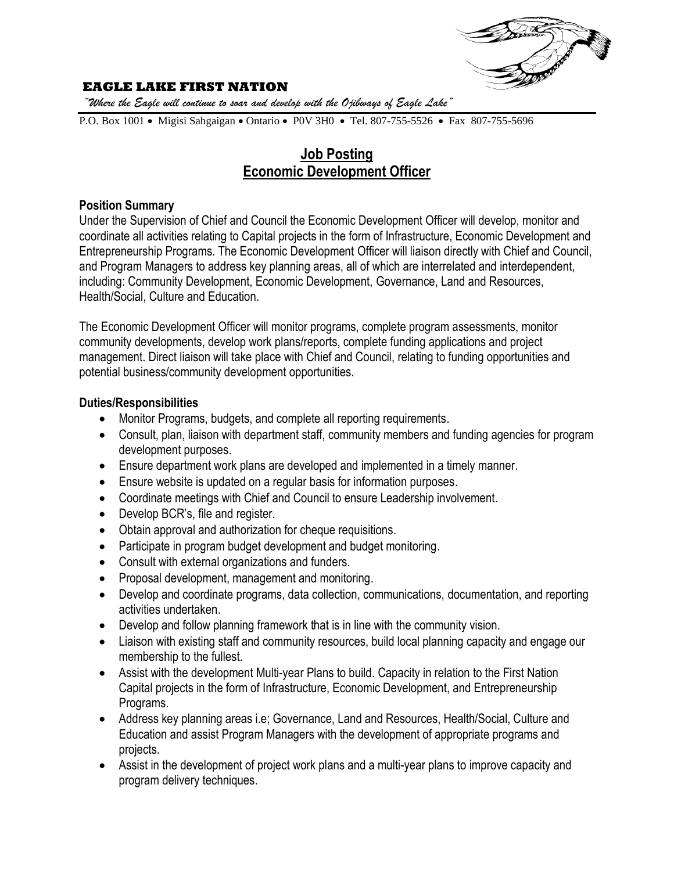

### **EAGLE LAKE FIRST NATION**

*"Where the Eagle will continue to soar and develop with the Ojibways of Eagle Lake"*

P.O. Box 1001 • Migisi Sahgaigan • Ontario • P0V 3H0 • Tel. 807-755-5526 • Fax 807-755-5696

# **Job Posting Economic Development Officer**

#### **Position Summary**

Under the Supervision of Chief and Council the Economic Development Officer will develop, monitor and coordinate all activities relating to Capital projects in the form of Infrastructure, Economic Development and Entrepreneurship Programs. The Economic Development Officer will liaison directly with Chief and Council, and Program Managers to address key planning areas, all of which are interrelated and interdependent, including: Community Development, Economic Development, Governance, Land and Resources, Health/Social, Culture and Education.

The Economic Development Officer will monitor programs, complete program assessments, monitor community developments, develop work plans/reports, complete funding applications and project management. Direct liaison will take place with Chief and Council, relating to funding opportunities and potential business/community development opportunities.

#### **Duties/Responsibilities**

- Monitor Programs, budgets, and complete all reporting requirements.
- Consult, plan, liaison with department staff, community members and funding agencies for program development purposes.
- Ensure department work plans are developed and implemented in a timely manner.
- Ensure website is updated on a regular basis for information purposes.
- Coordinate meetings with Chief and Council to ensure Leadership involvement.
- Develop BCR's, file and register.
- Obtain approval and authorization for cheque requisitions.
- Participate in program budget development and budget monitoring.
- Consult with external organizations and funders.
- Proposal development, management and monitoring.
- Develop and coordinate programs, data collection, communications, documentation, and reporting activities undertaken.
- Develop and follow planning framework that is in line with the community vision.
- Liaison with existing staff and community resources, build local planning capacity and engage our membership to the fullest.
- Assist with the development Multi-year Plans to build. Capacity in relation to the First Nation Capital projects in the form of Infrastructure, Economic Development, and Entrepreneurship Programs.
- Address key planning areas i.e; Governance, Land and Resources, Health/Social, Culture and Education and assist Program Managers with the development of appropriate programs and projects.
- Assist in the development of project work plans and a multi-year plans to improve capacity and program delivery techniques.